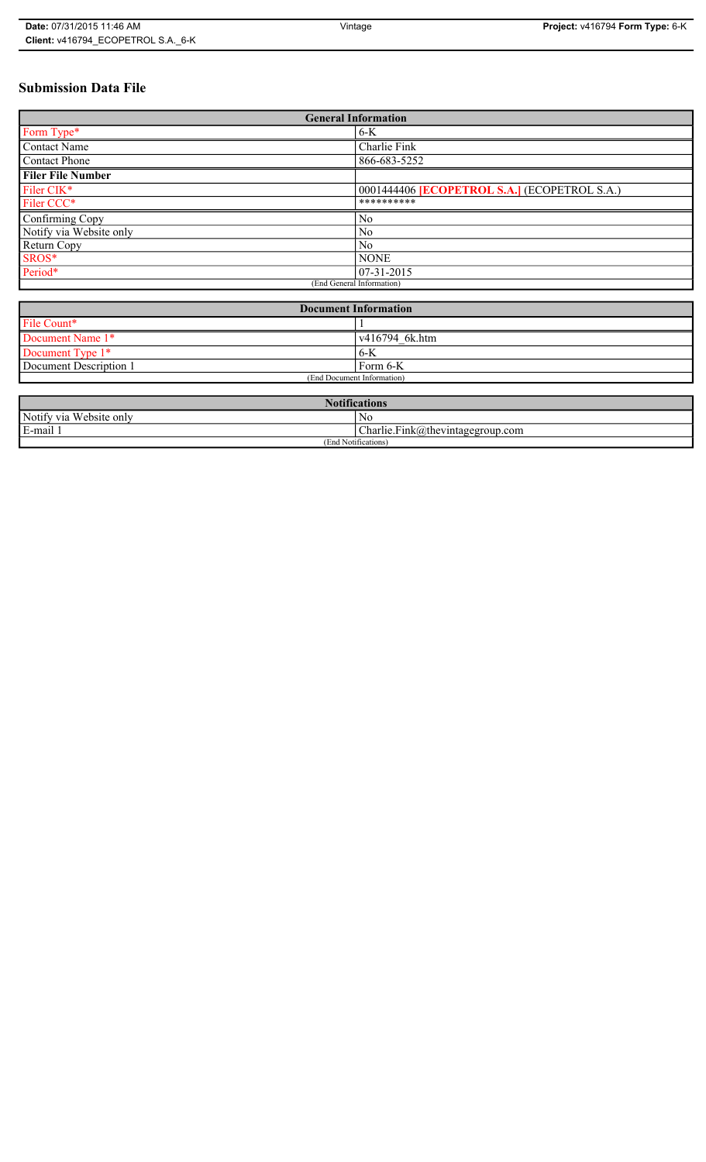# **Submission Data File**

| <b>General Information</b> |                                                   |  |
|----------------------------|---------------------------------------------------|--|
| Form Type*                 | $6-K$                                             |  |
| <b>Contact Name</b>        | Charlie Fink                                      |  |
| <b>Contact Phone</b>       | 866-683-5252                                      |  |
| <b>Filer File Number</b>   |                                                   |  |
| Filer CIK*                 | 0001444406 <b>ECOPETROL S.A.</b> (ECOPETROL S.A.) |  |
| Filer CCC*                 | **********                                        |  |
| Confirming Copy            | N <sub>0</sub>                                    |  |
| Notify via Website only    | N <sub>0</sub>                                    |  |
| Return Copy                | N <sub>0</sub>                                    |  |
| SROS*                      | <b>NONE</b>                                       |  |
| Period*                    | $ 07-31-2015 $                                    |  |
| (End General Information)  |                                                   |  |

| <b>Document Information</b> |                        |  |
|-----------------------------|------------------------|--|
| File Count*                 |                        |  |
| Document Name 1*            | $\sqrt{416794}$ 6k.htm |  |
| Document Type 1*            | 6-K                    |  |
| Document Description 1      | Form 6-K               |  |
| (End Document Information)  |                        |  |

| <b>Notifications</b>    |                                  |  |
|-------------------------|----------------------------------|--|
| Notify via Website only | N <sub>0</sub>                   |  |
| E-mail                  | Charlie.Fink@thevintagegroup.com |  |
| (End Notifications)     |                                  |  |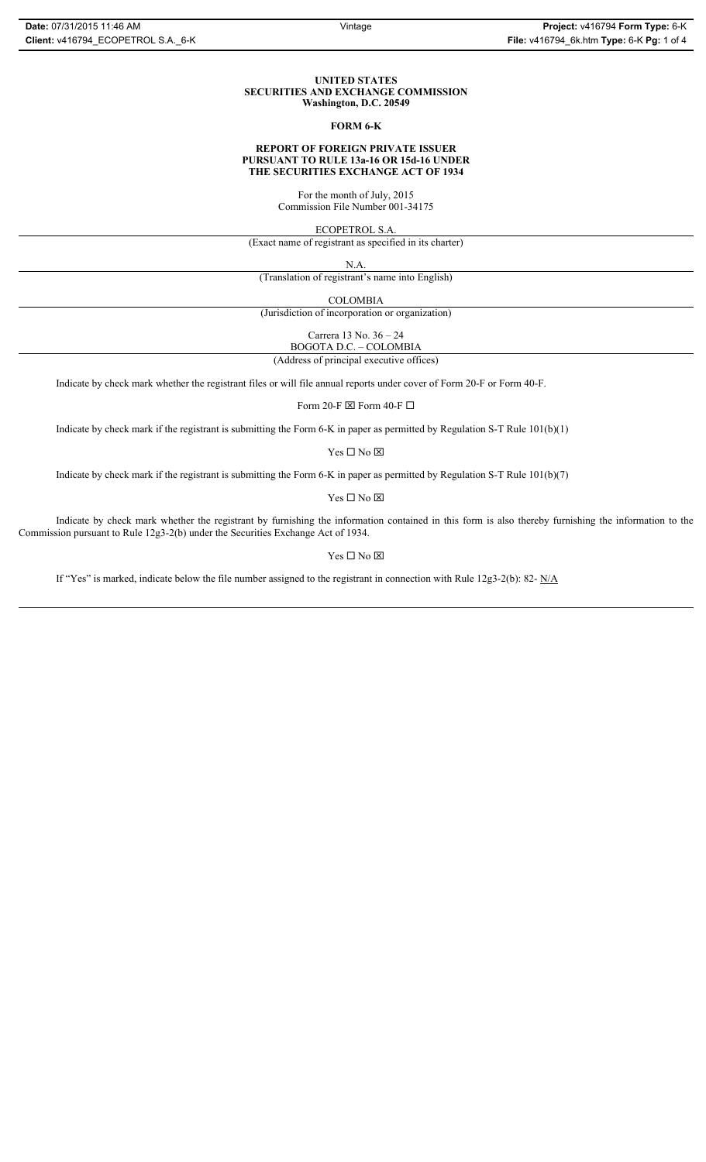#### **UNITED STATES SECURITIES AND EXCHANGE COMMISSION Washington, D.C. 20549**

#### **FORM 6-K**

## **REPORT OF FOREIGN PRIVATE ISSUER PURSUANT TO RULE 13a-16 OR 15d-16 UNDER THE SECURITIES EXCHANGE ACT OF 1934**

For the month of July, 2015 Commission File Number 001-34175

ECOPETROL S.A.

(Exact name of registrant as specified in its charter)

N.A.

(Translation of registrant's name into English)

COLOMBIA

(Jurisdiction of incorporation or organization)

Carrera 13 No. 36 – 24

BOGOTA D.C. – COLOMBIA (Address of principal executive offices)

Indicate by check mark whether the registrant files or will file annual reports under cover of Form 20-F or Form 40-F.

Form 20-F  $\boxtimes$  Form 40-F  $\Box$ 

Indicate by check mark if the registrant is submitting the Form 6-K in paper as permitted by Regulation S-T Rule 101(b)(1)

Yes $\Box$  No  $\boxtimes$ 

Indicate by check mark if the registrant is submitting the Form 6-K in paper as permitted by Regulation S-T Rule 101(b)(7)

Yes $\Box$  No  $\boxtimes$ 

Indicate by check mark whether the registrant by furnishing the information contained in this form is also thereby furnishing the information to the Commission pursuant to Rule 12g3-2(b) under the Securities Exchange Act of 1934.

### Yes $\Box$  No  $\boxtimes$

If "Yes" is marked, indicate below the file number assigned to the registrant in connection with Rule 12g3-2(b): 82-  $N/A$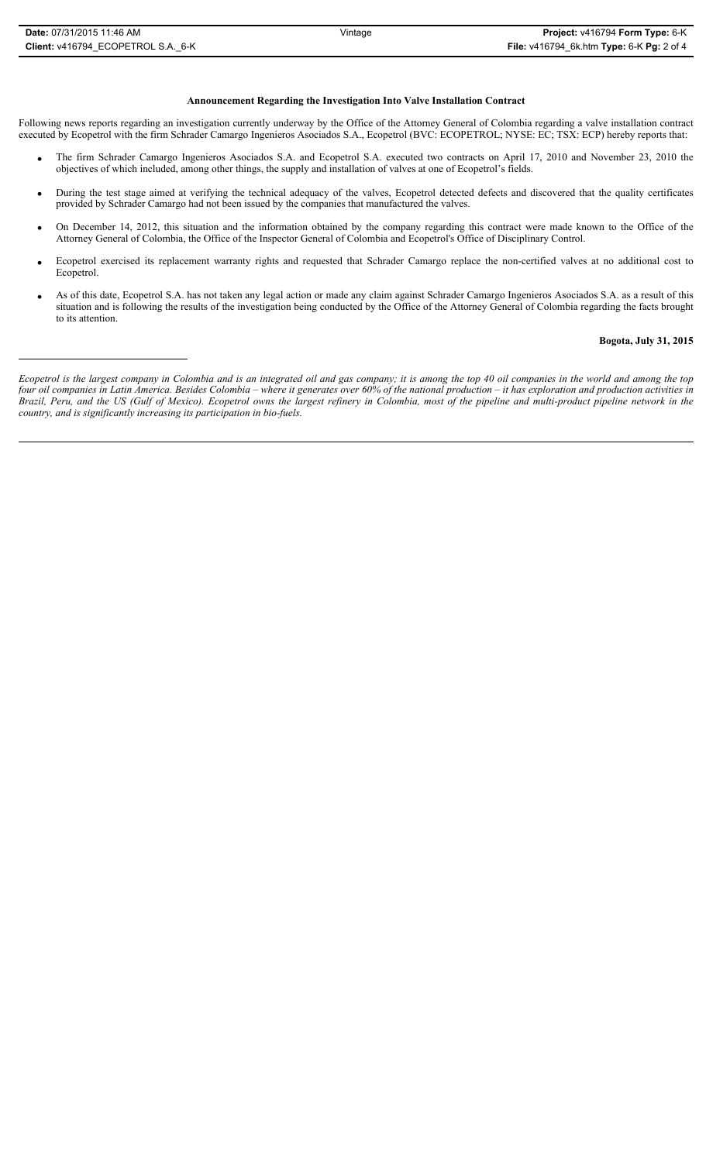### **Announcement Regarding the Investigation Into Valve Installation Contract**

Following news reports regarding an investigation currently underway by the Office of the Attorney General of Colombia regarding a valve installation contract executed by Ecopetrol with the firm Schrader Camargo Ingenieros Asociados S.A., Ecopetrol (BVC: ECOPETROL; NYSE: EC; TSX: ECP) hereby reports that:

- x The firm Schrader Camargo Ingenieros Asociados S.A. and Ecopetrol S.A. executed two contracts on April 17, 2010 and November 23, 2010 the objectives of which included, among other things, the supply and installation of valves at one of Ecopetrol's fields.
- During the test stage aimed at verifying the technical adequacy of the valves, Ecopetrol detected defects and discovered that the quality certificates provided by Schrader Camargo had not been issued by the companies that manufactured the valves.
- On December 14, 2012, this situation and the information obtained by the company regarding this contract were made known to the Office of the Attorney General of Colombia, the Office of the Inspector General of Colombia and Ecopetrol's Office of Disciplinary Control.
- x Ecopetrol exercised its replacement warranty rights and requested that Schrader Camargo replace the non-certified valves at no additional cost to Ecopetrol.
- As of this date, Ecopetrol S.A. has not taken any legal action or made any claim against Schrader Camargo Ingenieros Asociados S.A. as a result of this situation and is following the results of the investigation being conducted by the Office of the Attorney General of Colombia regarding the facts brought to its attention.

# **Bogota, July 31, 2015**

*Ecopetrol is the largest company in Colombia and is an integrated oil and gas company; it is among the top 40 oil companies in the world and among the top four oil companies in Latin America. Besides Colombia – where it generates over 60% of the national production – it has exploration and production activities in Brazil, Peru, and the US (Gulf of Mexico). Ecopetrol owns the largest refinery in Colombia, most of the pipeline and multi-product pipeline network in the country, and is significantly increasing its participation in bio-fuels.*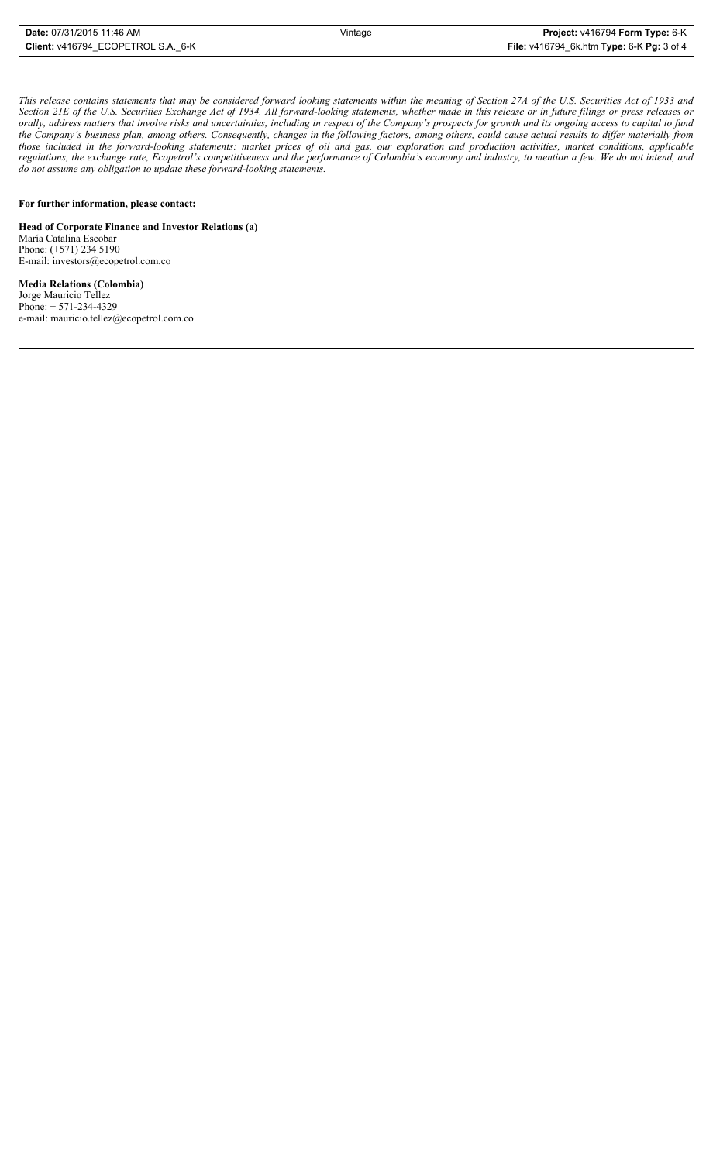| Date: 07/31/2015 11:46 AM          | Vintage | <b>Project: v416794 Form Type: 6-K</b>    |
|------------------------------------|---------|-------------------------------------------|
| Client: v416794 ECOPETROL S.A. 6-K |         | File: v416794_6k.htm Type: 6-K Pg: 3 of 4 |

*This release contains statements that may be considered forward looking statements within the meaning of Section 27A of the U.S. Securities Act of 1933 and Section 21E of the U.S. Securities Exchange Act of 1934. All forward-looking statements, whether made in this release or in future filings or press releases or orally, address matters that involve risks and uncertainties, including in respect of the Company's prospects for growth and its ongoing access to capital to fund the Company's business plan, among others. Consequently, changes in the following factors, among others, could cause actual results to differ materially from those included in the forward-looking statements: market prices of oil and gas, our exploration and production activities, market conditions, applicable regulations, the exchange rate, Ecopetrol's competitiveness and the performance of Colombia's economy and industry, to mention a few. We do not intend, and do not assume any obligation to update these forward-looking statements.*

## **For further information, please contact:**

**Head of Corporate Finance and Investor Relations (a)** María Catalina Escobar Phone: (+571) 234 5190 E-mail: investors@ecopetrol.com.co

**Media Relations (Colombia)**  Jorge Mauricio Tellez Phone: + 571-234-4329 e-mail: mauricio.tellez@ecopetrol.com.co